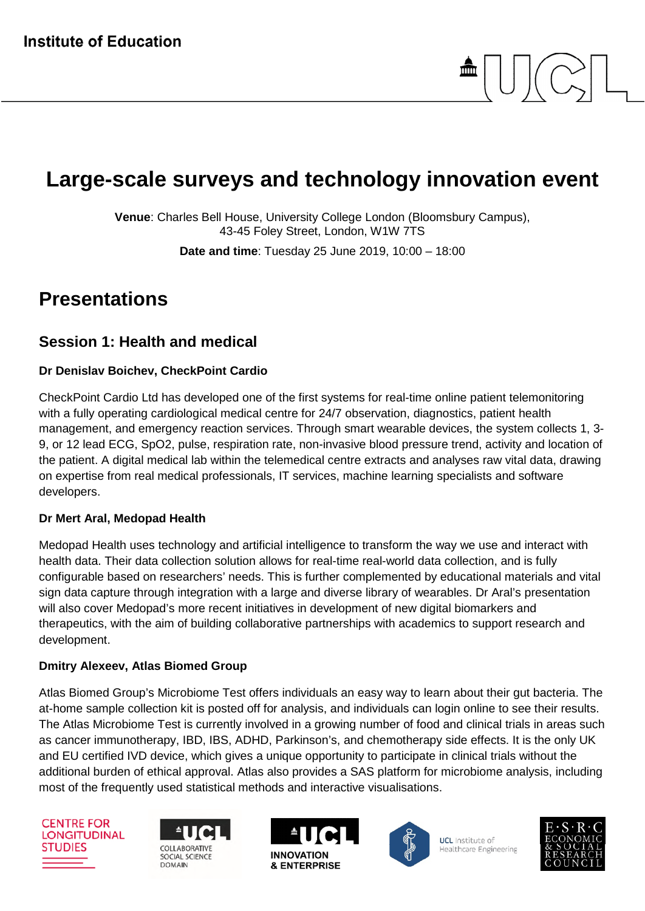# **Large-scale surveys and technology innovation event**

**Venue**: Charles Bell House, University College London (Bloomsbury Campus), 43-45 Foley Street, London, W1W 7TS

**Date and time**: Tuesday 25 June 2019, 10:00 – 18:00

# **Presentations**

### **Session 1: Health and medical**

#### **Dr Denislav Boichev, CheckPoint Cardio**

CheckPoint Cardio Ltd has developed one of the first systems for real-time online patient telemonitoring with a fully operating cardiological medical centre for 24/7 observation, diagnostics, patient health management, and emergency reaction services. Through smart wearable devices, the system collects 1, 3- 9, or 12 lead ECG, SpO2, pulse, respiration rate, non-invasive blood pressure trend, activity and location of the patient. A digital medical lab within the telemedical centre extracts and analyses raw vital data, drawing on expertise from real medical professionals, IT services, machine learning specialists and software developers.

#### **Dr Mert Aral, Medopad Health**

Medopad Health uses technology and artificial intelligence to transform the way we use and interact with health data. Their data collection solution allows for real-time real-world data collection, and is fully configurable based on researchers' needs. This is further complemented by educational materials and vital sign data capture through integration with a large and diverse library of wearables. Dr Aral's presentation will also cover Medopad's more recent initiatives in development of new digital biomarkers and therapeutics, with the aim of building collaborative partnerships with academics to support research and development.

#### **Dmitry Alexeev, Atlas Biomed Group**

Atlas Biomed Group's Microbiome Test offers individuals an easy way to learn about their gut bacteria. The at-home sample collection kit is posted off for analysis, and individuals can login online to see their results. The Atlas Microbiome Test is currently involved in a growing number of food and clinical trials in areas such as cancer immunotherapy, IBD, IBS, ADHD, Parkinson's, and chemotherapy side effects. It is the only UK and EU certified IVD device, which gives a unique opportunity to participate in clinical trials without the additional burden of ethical approval. Atlas also provides a SAS platform for microbiome analysis, including most of the frequently used statistical methods and interactive visualisations.

**CENTRE FOR LONGITUDINAL STUDIES** 







**UCL** Institute of Healthcare Engineering

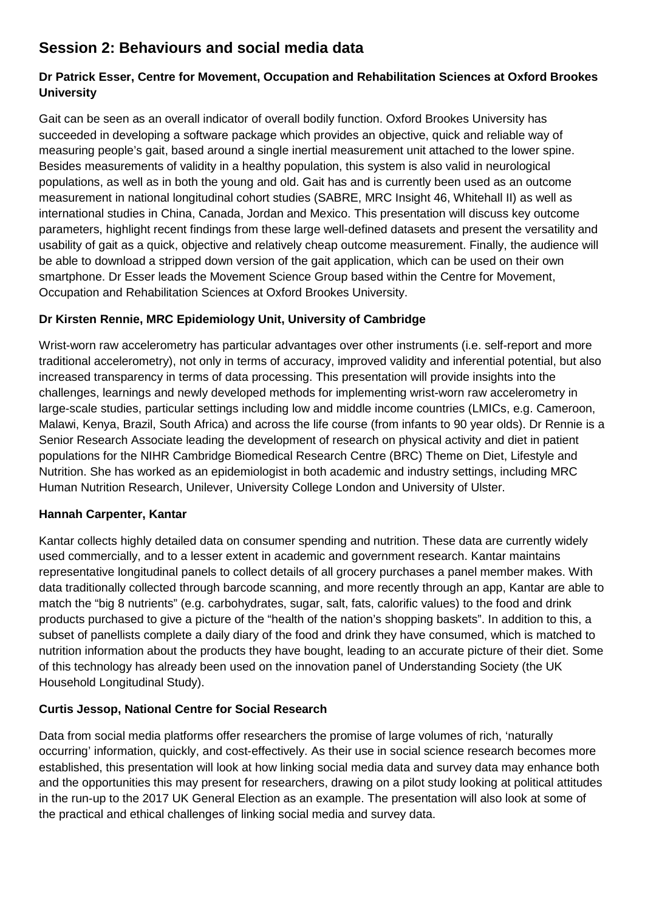## **Session 2: Behaviours and social media data**

#### **Dr Patrick Esser, Centre for Movement, Occupation and Rehabilitation Sciences at Oxford Brookes University**

Gait can be seen as an overall indicator of overall bodily function. Oxford Brookes University has succeeded in developing a software package which provides an objective, quick and reliable way of measuring people's gait, based around a single inertial measurement unit attached to the lower spine. Besides measurements of validity in a healthy population, this system is also valid in neurological populations, as well as in both the young and old. Gait has and is currently been used as an outcome measurement in national longitudinal cohort studies (SABRE, MRC Insight 46, Whitehall II) as well as international studies in China, Canada, Jordan and Mexico. This presentation will discuss key outcome parameters, highlight recent findings from these large well-defined datasets and present the versatility and usability of gait as a quick, objective and relatively cheap outcome measurement. Finally, the audience will be able to download a stripped down version of the gait application, which can be used on their own smartphone. Dr Esser leads the Movement Science Group based within the Centre for Movement, Occupation and Rehabilitation Sciences at Oxford Brookes University.

#### **Dr Kirsten Rennie, MRC Epidemiology Unit, University of Cambridge**

Wrist-worn raw accelerometry has particular advantages over other instruments (i.e. self-report and more traditional accelerometry), not only in terms of accuracy, improved validity and inferential potential, but also increased transparency in terms of data processing. This presentation will provide insights into the challenges, learnings and newly developed methods for implementing wrist-worn raw accelerometry in large-scale studies, particular settings including low and middle income countries (LMICs, e.g. Cameroon, Malawi, Kenya, Brazil, South Africa) and across the life course (from infants to 90 year olds). Dr Rennie is a Senior Research Associate leading the development of research on physical activity and diet in patient populations for the NIHR Cambridge Biomedical Research Centre (BRC) Theme on Diet, Lifestyle and Nutrition. She has worked as an epidemiologist in both academic and industry settings, including MRC Human Nutrition Research, Unilever, University College London and University of Ulster.

#### **Hannah Carpenter, Kantar**

Kantar collects highly detailed data on consumer spending and nutrition. These data are currently widely used commercially, and to a lesser extent in academic and government research. Kantar maintains representative longitudinal panels to collect details of all grocery purchases a panel member makes. With data traditionally collected through barcode scanning, and more recently through an app, Kantar are able to match the "big 8 nutrients" (e.g. carbohydrates, sugar, salt, fats, calorific values) to the food and drink products purchased to give a picture of the "health of the nation's shopping baskets". In addition to this, a subset of panellists complete a daily diary of the food and drink they have consumed, which is matched to nutrition information about the products they have bought, leading to an accurate picture of their diet. Some of this technology has already been used on the innovation panel of Understanding Society (the UK Household Longitudinal Study).

#### **Curtis Jessop, National Centre for Social Research**

Data from social media platforms offer researchers the promise of large volumes of rich, 'naturally occurring' information, quickly, and cost-effectively. As their use in social science research becomes more established, this presentation will look at how linking social media data and survey data may enhance both and the opportunities this may present for researchers, drawing on a pilot study looking at political attitudes in the run-up to the 2017 UK General Election as an example. The presentation will also look at some of the practical and ethical challenges of linking social media and survey data.